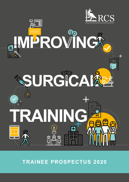

**TRAINEE PROSPECTUS 2020**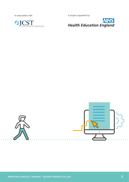

In association with:  $\blacksquare$ 





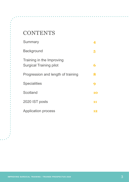### **CONTENTS**

| <b>Summary</b>                                              |    |
|-------------------------------------------------------------|----|
| <b>Background</b>                                           | 5  |
| Training in the Improving<br><b>Surgical Training pilot</b> | 6  |
| Progression and length of training                          | 8  |
| <b>Specialities</b>                                         | q  |
| Scotland                                                    | 10 |
| 2020 IST posts                                              | 11 |
| <b>Application process</b>                                  | 12 |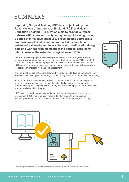### SUMMARY

**Improving Surgical Training (IST) is a project led by the Royal College of Surgeons of England (RCS) and Health Education England (HEE), which aims to provide surgical trainees with a greater quality and quantity of training through a series of innovative initiatives. These include appropriate emphasis on clinical exposure supported by simulation, enhanced trainee–trainer interactions with dedicated training time and working with members of the surgical care team**<sup>1</sup> **(also known as the extended surgical team (EST)).**

IST is an ambitious project that is being piloted and evaluated alongside existing surgical training and has already recruited two cohorts of trainees in 2018 and 2019. IST trainees are appointed to a programme in which regular formative assessments will be used to ensure progress against the core surgery curriculum, with appropriate feedback, personal reflection and self-assessment.

The IST initiatives are intended to allow early year trainees to develop competencies at their own pace, with opportunities to gain skills usually acquired in more advanced training.

In 2020, the pilot will be recruiting the next cohorts of run through trainees in general surgery, urology and vascular surgery, alongside the first cohort in trauma and orthopaedic surgery. Uncoupled core surgery posts which comply with the IST initiatives are also available within the pilot.

HEE have commissioned an independent evaluation of the pilot, which will report in December 2021. The evaluation will include interim reports on the pilot and it is anticipated that the outcome will have applications for future surgical training.



1. www.rcseng.ac.uk/standards-and-research/standards-and-guidance/service-standards/surgical-care-team-guidance/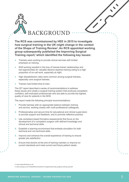

**The RCS was commissioned by HEE in 2015 to investigate how surgical training in the UK might change in the context of the Shape of Training Review**<sup>2</sup> **. An RCS appointed working group subsequently published the Improving Surgical Training report,**<sup>3</sup>  **which identified the following key issues:**

- **●** Trainees were working to provide clinical services with limited emphasis on training.
- Shift working resulted in the loss of trainee-trainer relationships and lost opportunities for valuable elective daytime training owing to a high proportion of on-call work, especially at night.
- **●** High dissatisfaction rates were common among surgical trainees, especially core surgical trainees.
- **●** Trainers had limited time to train.

The IST report described a series of recommendations to address these issues and create a surgical training system that produces competent, confident, self-motivated professionals who are able to provide the highest quality of care for patients in the NHS.

The report made the following principal recommendations:

- **1.** Provide trainees with an appropriate balance between training and service, working closely with multi-professional colleagues.
- **2.** Professionalise and secure time for educational and clinical supervision to provide support and feedback, and to promote reflective practice.
- **3.** Use workplace based formative assessments that focus on the development of a competent surgeon with defined knowledge and clinical and technical skills.
- **4.** Establish a learning environment that embeds simulation for both technical and non-technical skills.
- **5.** Improve and enhance the overall experience of training to ensure greater job satisfaction.
- **6.** Ensure that doctors at the end of training maintain or improve on current standards and meet current and future patient needs.

<sup>2.</sup> www.shapeoftraining.co.uk/

<sup>3.</sup> www.rcseng.ac.uk/-/media/files/rcs/careers-in-surgery/improving\_surgical\_training\_text.pdf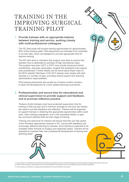### TRAINING IN THE IMPROVING SURGICAL TRAINING PILOT

#### **1. Provide trainees with an appropriate balance between training and service, working closely with multi-professional colleagues**

The IST pilot posts will provide training opportunities for approximately 60% of the working week. Pilot placements are intended to be restricted to on-call rotas, which are designed to provide appropriate time for elective training.

The IST pilot aims to champion the surgical care team to ensure that trainees' time is dedicated to activities of high educational value. The surgical care team (SCT or EST) may include advanced clinical practitioners, physician associates, surgical first assistants and surgical care practitioners. Further details can be found about these roles on the RCS website.<sup>4</sup> Members of the SCT already work closely with pilot trainees in a number of sites, providing clinical support and reducing administrative responsibilities.

Pilot training placements will usually be of twelve months' duration, to allow the development of a more settled learning environment.

#### **2. Professionalise and secure time for educational and clinical supervision to provide support and feedback, and to promote reflective practice**

Trainers of pilot trainees must have protected supervision time for training in their job plan and a minimum average of one hour per trainee per week to provide feedback and reflection. Trainers will be expected to support trainees in obtaining the appropriate opportunities within ward work, when treating outpatients, and in the operating theatre, to gain the curriculum-defined skills for their stage of training.

Training and resources for trainers will ensure that they are fully aware of the formative approaches inherent in IST, and provide feedback and encourage reflective learning by trainees. Such training is expected to be available within Schools of Surgery and regionally based. Trainers will be expected to maintain their own professional development of training and teaching skills<sup>5</sup>





4. www.rcseng.ac.uk/standards-and-research/standards-and-guidance/service-standards/surgical-care-team-guidance/surgical-care-team-resources/ and https://www.rcseng.ac.uk/standards-and-research/standards-and-guidance/service-standards/surgical-care-team-guidance/ 5. www.rcseng.ac.uk/careers-in-surgery/trainees/ist/pilot-site-resources/trainer-resources/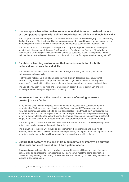#### **3. Use workplace based formative assessments that focus on the development of a competent surgeon with defined knowledge and clinical and technical skills**

Both IST pilot trainees and non-pilot core trainees will follow the same core surgery curriculum during the first two years of their training. The learning agreement, dedicated trainer time and extended time for training in the working week will facilitate more competence based training opportunities.

The Joint Committee on Surgical Training (JCST) is preparing new curricula for all surgical specialties in the context of the new GMC standards (Excellence by Design – Standards for Postgraduate Curricula<sup>6</sup>) which state curricula should be outcomes-based. This approach will be included in the next revision of the core curriculum, which is due for implementation in August 2020.

#### **4. Establish a learning environment that embeds simulation for both technical and non-technical skills**

The benefits of simulation are now established in surgical training for not only technical but also non-technical skills.

Pilot trainees will receive simulation-based training through dedicated local educational induction programmes ('boot camps') as they move through different levels of training and have specific opportunities within their posts for both supervised and unsupervised activities.

The use of simulation for training and learning is now part of the core curriculum and will be incorporated in the upcoming revised specialty curricula.

#### **5. Improve and enhance the overall experience of training to ensure greater job satisfaction**

A key feature of IST is that progression will be based on acquisition of curriculum-defined competencies. Trainees learn and develop at different rates and IST recognises that such individual performance needs to be taken into consideration. Run through training facilitates the environment in which individual performance can be supported without the potential insecurity of having to move location for higher training. Summative assessment is necessary at different stages but this will ensure that targets are met in preparation for the next phase of training.

The working environment is anticipated to include the 'modern firm' structure comprising trainer, trainee, peer colleagues and the surgical care team.

The evaluation of the pilot will include an assessment of the experience and learning of trainees, the relationship between trainees and supervisors, the impact of the working environment on trainee wellbeing, and overall trainee satisfaction including work-life balance.

#### **6. Ensure that doctors at the end of training maintain or improve on current standards and meet current and future patient needs.**

At completion of training, pilot and non-pilot uncoupled trainees will have achieved the same clinical skills and professional competencies. IST trainees will meet the same certification criteria but they will be gained through a more efficient and rewarding process using the initiatives outlined in this prospectus.

6. www.gmc-uk.org/education/standards-guidance-and-curricula/standards-and-outcomes/excellence-by-design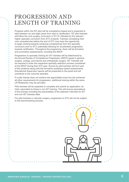### PROGRESSION AND LENGTH OF TRAINING

Progress within the IST pilot will be competency-based and is expected to take between six and eight years from start to certification. IST pilot trainees will follow the core surgery curriculum in ST1/2, followed by the relevant higher specialty curriculum from ST3 onwards. Trainees completing their core competencies before the end of ST2 may have the opportunity to begin working towards achieving competencies from the specialty curriculum prior to ST3, potentially allowing for accelerated progression towards certification. Throughout the programme, there will be formative and summative assessments, including the ARCP.

Progression to specialty training for IST trainees will be determined by the Annual Review of Competence Progression (ARCP) panel in general surgery, urology, and trauma and orthopaedic surgery. IST Trainees will be required to enter the respective specialty selection process considered at the ARCP during their ST2 year. Scores by pilot trainees will form part of the evidence along with the formative workplace based assessments. Educational Supervisor reports will be presented to the panel and will contribute to the outcome awarded.

If a pilot trainee does not achieve the appointable score but has achieved all other requirements for progression, additional training within the same LETB/deanery may be provided.

Pilot trainees will be expected to complete and submit an application via Oriel, equivalent to those in non-IST training. This will ensure equivalence of the process including the practicalities of the selection interview for IST and non-IST trainees alike.

For pilot trainees in vascular surgery, progression to ST3 will not be subject to this benchmarking process.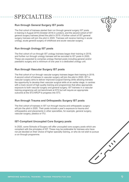### **SPECIALTIES**

#### **Run through General Surgery IST posts**

The first cohort of trainees started their run through general surgery IST posts in training in August 2018 (October 2018 in London), and the second cohort of IST general surgery trainees joined the pilot in 2019. A further cohort of IST general surgery trainees will join the pilot in 2020. Trainees will receive training in acute urology, acute general surgery of childhood and acute vascular surgery.

#### **Run through Urology IST posts**

The first cohort of run through IST urology trainees began their training in 2019, and further run through urology trainees will be recruited to IST posts in 2020. These are expected to comprise urology themed posts including general and/or paediatric surgery and a minimum of one year in a dedicated urology unit.

#### **Run through Vascular Surgery IST posts**

The first cohort of run through vascular surgery trainees began their training in 2019. A second cohort of trainees in vascular surgery will join the pilot in 2020. IST in vascular surgery aims to deliver improved surgical training while allowing trainees the opportunity to develop their vascular surgical skills at an earlier stage, in centres with a track record of high quality training and programmes that allow appropriate exposure to both vascular surgery and general surgery. IST trainees in a vascular training programme will not benchmark at ST2 but will require an appropriate outcome at the ST2 ARCP to progress into ST3.

#### **Run through Trauma and Orthopaedic Surgery IST posts**

The first cohort of trainees in IST run through trauma and orthopaedic surgery will join the pilot in 2020. Their posts include a year's exposure to trauma and orthopaedics and placements in other specialties, for example, general surgery, vascular surgery, plastics or ITU.

#### **IST-Compliant Uncoupled Core Surgery posts**

In 2020, some Schools of Surgery will offer uncoupled core surgery posts which are compliant with the principles of IST. These may be preferable for trainees who have not yet decided on their choice of higher specialty training, or who do not wish to pursue a run through programme.

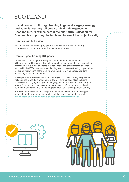### SCOTLAND

**In addition to run through training in general surgery, urology and vascular surgery, all core surgical training posts in Scotland in 2020 will be part of the pilot. NHS Education for Scotland is supporting the implementation of the project locally.**

#### **Run through IST posts**

Ten run through general surgery posts will be available; three run through urology posts, and one run through vascular surgery post.

#### **Core surgical training IST posts**

All remaining core surgical training posts in Scotland will be uncoupled IST placements. This means that trainees undertaking uncoupled surgical training will train in pilot site health boards that have made the environmental changes included in the IST model, such as adjusting rotas to provide training opportunities for approximately 60% of the working week, and protecting supervision time for training in trainers' job plans.

These placements however, are not run through in structure. Training programmes will comprise 6 and 12 month posts in different surgical specialties including cardiothoracic surgery, ENT, general surgery, paediatric surgery, plastic surgery, trauma & orthopaedics, vascular surgery and urology. Some of these posts will be themed for a career in all of the surgical specialties, including general surgery.

For more information about training in Scotland, the Health Boards taking part in the pilot and further details regarding training programmes, please visit **www.scotmt.scot.nhs.uk/specialty/specialty-programmes.aspx**



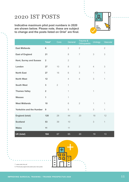### 2020 IST POSTS

**Indicative maximum pilot post numbers in 2020 are shown below. Please note, these are subject to change and the posts listed on Oriel**<sup>7</sup>  **are final.**



|                                 | Total <sup>8</sup> | Core           | General        | Trauma &<br>Orthopaedic | Urology        | Vascular       |
|---------------------------------|--------------------|----------------|----------------|-------------------------|----------------|----------------|
| <b>East Midlands</b>            | $6\phantom{a}$     |                | $\overline{2}$ | $\overline{2}$          |                | $\overline{2}$ |
| <b>East of England</b>          | 21                 |                | $\,8\,$        | $\overline{7}$          | 3              | $\mathfrak{Z}$ |
| Kent, Surrey and Sussex         | $\overline{2}$     |                | $\overline{2}$ |                         |                |                |
| London                          | 27                 | 10             | 8              | $\overline{2}$          | $\overline{4}$ | 3              |
| <b>North East</b>               | 27                 | 16             | 6              | 3                       | $\mathbf{1}$   | $\mathbf{1}$   |
| <b>North West</b>               | 12                 |                | $\overline{4}$ | $\overline{4}$          | 3              | $\mathbf 1$    |
| <b>South West</b>               | $\overline{3}$     | $\overline{2}$ | $\mathbf 1$    |                         |                |                |
| <b>Thames Valley</b>            | $\overline{2}$     |                | $\mathbf 1$    |                         | $\mathbf{1}$   |                |
| <b>Wessex</b>                   | $\mathbf{1}$       |                | 1              |                         |                |                |
| <b>West Midlands</b>            | 10                 |                | $\,$ 6 $\,$    | $\overline{2}$          | $\mathbf{1}$   | $\mathbf{1}$   |
| <b>Yorkshire and the Humber</b> | 9                  |                | 5              |                         | 3              | $\mathbf{1}$   |
| <b>England (total)</b>          | 120                | 28             | 44             | 20                      | 16             | 12             |
| <b>Scotland</b>                 | 53                 | 39             | 10             |                         | 3              | $\mathbf{1}$   |
| <b>Wales</b>                    | 11                 |                | 11             |                         |                |                |
| <b>UK (total)</b>               | 184                | 67             | 65             | 20                      | 19             | 13             |

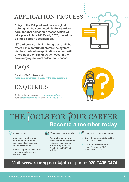## APPLICATION PROCESS

**Entry to the IST pilot and core surgical training will be completed via the standard core national selection process which will take place in late 2019/early 2020, based on a single person specification.**

**IST and core surgical training posts will be offered in a combined preference system via the Oriel online application system, with offers based on rankings achieved in the core surgery national selection process.**

### **FAOS**

For a list of FAQs please visit **rcseng.ac.uk/careers-in-surgery/trainees/ist/ist-faq/**

### ENQUIRIES

To find out more, please visit **rcseng.ac.uk/ist,** contact **ist@rcseng.ac.uk** or call **020 7869 6225**





# THE JOOLS FOR JOUR CAREER **Become a member today**

#### Knowledge

- **Access our publications the Bulletin and Annals**, and thousands of e-journals and online resources.
- **Receive regular e-newsletters,** informing you of news and policy changes.
- **Career-stage events** 
	- **Get advice and support at our career development**, networking and regional events. They're free for members (and worth up to £150).
- Skills and development
	- **Apply for research fellowships**, bursaries and awards.
	- **Get a 10% discount** off the price of a range of RCS educational courses.

### Visit: **www.rcseng.ac.uk/join** or phone **020 7405 3474**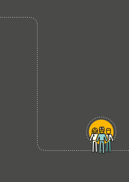